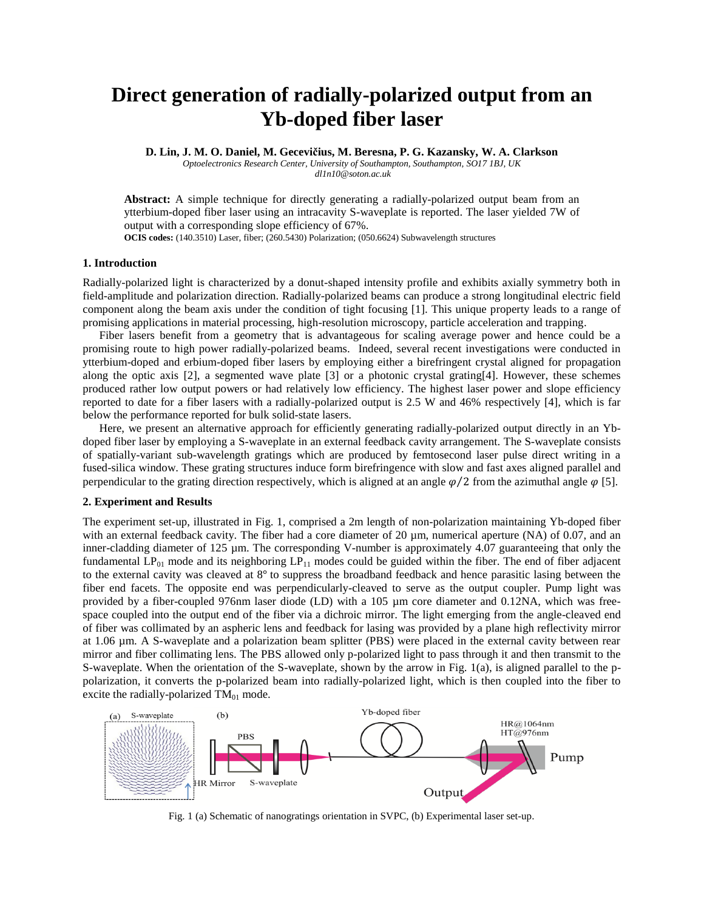# **Direct generation of radially-polarized output from an Yb-doped fiber laser**

**D. Lin, J. M. O. Daniel, M. Gecevičius, M. Beresna, P. G. Kazansky, W. A. Clarkson**

*Optoelectronics Research Center, University of Southampton, Southampton, SO17 1BJ, UK dl1n10@soton.ac.uk*

**Abstract:** A simple technique for directly generating a radially-polarized output beam from an ytterbium-doped fiber laser using an intracavity S-waveplate is reported. The laser yielded 7W of output with a corresponding slope efficiency of 67%.

**OCIS codes:** (140.3510) Laser, fiber; (260.5430) Polarization; (050.6624) Subwavelength structures

## **1. Introduction**

Radially-polarized light is characterized by a donut-shaped intensity profile and exhibits axially symmetry both in field-amplitude and polarization direction. Radially-polarized beams can produce a strong longitudinal electric field component along the beam axis under the condition of tight focusing [\[1\]](#page-1-0). This unique property leads to a range of promising applications in material processing, high-resolution microscopy, particle acceleration and trapping.

Fiber lasers benefit from a geometry that is advantageous for scaling average power and hence could be a promising route to high power radially-polarized beams. Indeed, several recent investigations were conducted in ytterbium-doped and erbium-doped fiber lasers by employing either a birefringent crystal aligned for propagation along the optic axis [\[2\]](#page-1-1), a segmented wave plate [\[3\]](#page-1-2) or a photonic crystal grating[\[4\]](#page-1-3). However, these schemes produced rather low output powers or had relatively low efficiency. The highest laser power and slope efficiency reported to date for a fiber lasers with a radially-polarized output is 2.5 W and 46% respectively [\[4\]](#page-1-3), which is far below the performance reported for bulk solid-state lasers.

Here, we present an alternative approach for efficiently generating radially-polarized output directly in an Ybdoped fiber laser by employing a S-waveplate in an external feedback cavity arrangement. The S-waveplate consists of spatially-variant sub-wavelength gratings which are produced by femtosecond laser pulse direct writing in a fused-silica window. These grating structures induce form birefringence with slow and fast axes aligned parallel and perpendicular to the grating direction respectively, which is aligned at an angle  $\varphi/2$  from the azimuthal angle  $\varphi$  [\[5\]](#page-1-4).

### **2. Experiment and Results**

The experiment set-up, illustrated in [Fig. 1,](#page-0-0) comprised a 2m length of non-polarization maintaining Yb-doped fiber with an external feedback cavity. The fiber had a core diameter of 20  $\mu$ m, numerical aperture (NA) of 0.07, and an inner-cladding diameter of 125 µm. The corresponding V-number is approximately 4.07 guaranteeing that only the fundamental  $LP_{01}$  mode and its neighboring  $LP_{11}$  modes could be guided within the fiber. The end of fiber adjacent to the external cavity was cleaved at  $8^\circ$  to suppress the broadband feedback and hence parasitic lasing between the fiber end facets. The opposite end was perpendicularly-cleaved to serve as the output coupler. Pump light was provided by a fiber-coupled 976nm laser diode (LD) with a 105 µm core diameter and 0.12NA, which was freespace coupled into the output end of the fiber via a dichroic mirror. The light emerging from the angle-cleaved end of fiber was collimated by an aspheric lens and feedback for lasing was provided by a plane high reflectivity mirror at 1.06 µm. A S-waveplate and a polarization beam splitter (PBS) were placed in the external cavity between rear mirror and fiber collimating lens. The PBS allowed only p-polarized light to pass through it and then transmit to the S-waveplate. When the orientation of the S-waveplate, shown by the arrow in [Fig. 1\(](#page-0-0)a), is aligned parallel to the ppolarization, it converts the p-polarized beam into radially-polarized light, which is then coupled into the fiber to excite the radially-polarized  $TM_{01}$  mode.



<span id="page-0-0"></span>Fig. 1 (a) Schematic of nanogratings orientation in SVPC, (b) Experimental laser set-up.